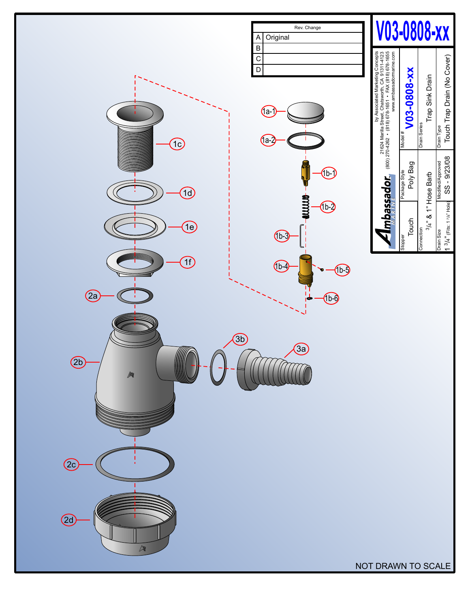